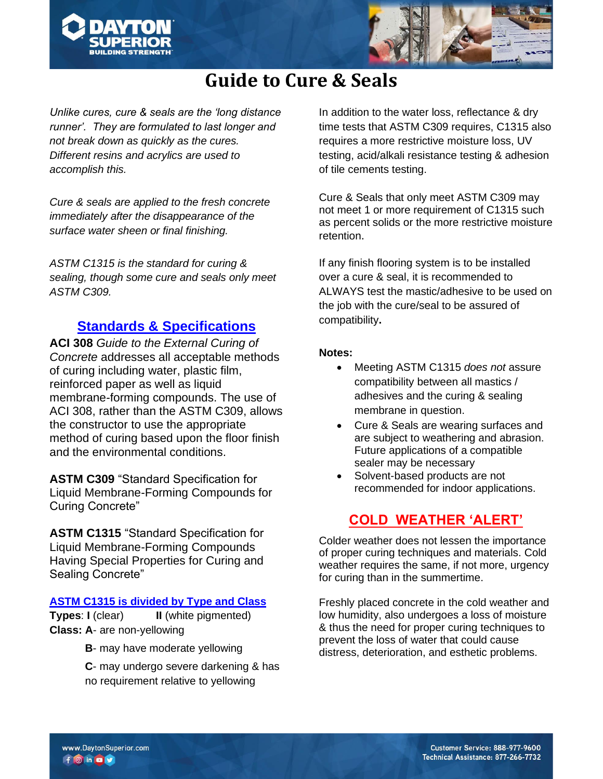



# **Guide to Cure & Seals**

*Unlike cures, cure & seals are the 'long distance runner'. They are formulated to last longer and not break down as quickly as the cures. Different resins and acrylics are used to accomplish this.*

*Cure & seals are applied to the fresh concrete immediately after the disappearance of the surface water sheen or final finishing.*

*ASTM C1315 is the standard for curing & sealing, though some cure and seals only meet ASTM C309.*

# **Standards & Specifications**

**ACI 308** *Guide to the External Curing of Concrete* addresses all acceptable methods of curing including water, plastic film, reinforced paper as well as liquid membrane-forming compounds. The use of ACI 308, rather than the ASTM C309, allows the constructor to use the appropriate method of curing based upon the floor finish and the environmental conditions.

**ASTM C309** "Standard Specification for Liquid Membrane-Forming Compounds for Curing Concrete"

**ASTM C1315** "Standard Specification for Liquid Membrane-Forming Compounds Having Special Properties for Curing and Sealing Concrete"

#### **ASTM C1315 is divided by Type and Class**

**Types**: **I** (clear) **II** (white pigmented) **Class: A**- are non-yellowing

**B**- may have moderate yellowing

**C**- may undergo severe darkening & has no requirement relative to yellowing

In addition to the water loss, reflectance & dry time tests that ASTM C309 requires, C1315 also requires a more restrictive moisture loss, UV testing, acid/alkali resistance testing & adhesion of tile cements testing.

Cure & Seals that only meet ASTM C309 may not meet 1 or more requirement of C1315 such as percent solids or the more restrictive moisture retention.

If any finish flooring system is to be installed over a cure & seal, it is recommended to ALWAYS test the mastic/adhesive to be used on the job with the cure/seal to be assured of compatibility**.** 

#### **Notes:**

- Meeting ASTM C1315 *does not* assure compatibility between all mastics / adhesives and the curing & sealing membrane in question.
- Cure & Seals are wearing surfaces and are subject to weathering and abrasion. Future applications of a compatible sealer may be necessary
- Solvent-based products are not recommended for indoor applications.

# **COLD WEATHER 'ALERT'**

Colder weather does not lessen the importance of proper curing techniques and materials. Cold weather requires the same, if not more, urgency for curing than in the summertime.

Freshly placed concrete in the cold weather and low humidity, also undergoes a loss of moisture & thus the need for proper curing techniques to prevent the loss of water that could cause distress, deterioration, and esthetic problems.